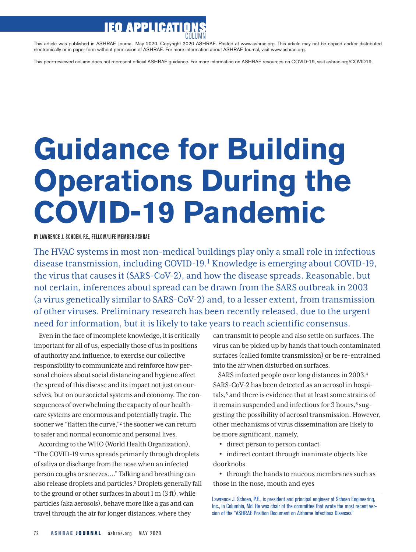## **IEO APPLICATIO**

This article was published in ASHRAE Journal, May 2020. Copyright 2020 ASHRAE. Posted at www.ashrae.org. This article may not be copied and/or distributed electronically or in paper form without permission of ASHRAE. For more information about ASHRAE Journal, visit www.ashrae.org.

This peer-reviewed column does not represent official ASHRAE guidance. For more information on ASHRAE resources on COVID-19, visit ashrae.org/COVID19.

## **Guidance for Building Operations During the COVID-19 Pandemic**

BY LAWRENCE J. SCHOEN, P.E., FELLOW/LIFE MEMBER ASHRAE

The HVAC systems in most non-medical buildings play only a small role in infectious disease transmission, including COVID-19.<sup>1</sup> Knowledge is emerging about COVID-19, the virus that causes it (SARS-CoV-2), and how the disease spreads. Reasonable, but not certain, inferences about spread can be drawn from the SARS outbreak in 2003 (a virus genetically similar to SARS-CoV-2) and, to a lesser extent, from transmission of other viruses. Preliminary research has been recently released, due to the urgent need for information, but it is likely to take years to reach scientific consensus.

Even in the face of incomplete knowledge, it is critically important for all of us, especially those of us in positions of authority and influence, to exercise our collective responsibility to communicate and reinforce how personal choices about social distancing and hygiene affect the spread of this disease and its impact not just on ourselves, but on our societal systems and economy. The consequences of overwhelming the capacity of our healthcare systems are enormous and potentially tragic. The sooner we "flatten the curve,"2 the sooner we can return to safer and normal economic and personal lives.

According to the WHO (World Health Organization), "The COVID-19 virus spreads primarily through droplets of saliva or discharge from the nose when an infected person coughs or sneezes…." Talking and breathing can also release droplets and particles.3 Droplets generally fall to the ground or other surfaces in about 1 m (3 ft), while particles (aka aerosols), behave more like a gas and can travel through the air for longer distances, where they

can transmit to people and also settle on surfaces. The virus can be picked up by hands that touch contaminated surfaces (called fomite transmission) or be re-entrained into the air when disturbed on surfaces.

SARS infected people over long distances in 2003,4 SARS-CoV-2 has been detected as an aerosol in hospitals,<sup>5</sup> and there is evidence that at least some strains of it remain suspended and infectious for  $3$  hours, $6$  suggesting the possibility of aerosol transmission. However, other mechanisms of virus dissemination are likely to be more significant, namely,

• direct person to person contact

• indirect contact through inanimate objects like doorknobs

• through the hands to mucous membranes such as those in the nose, mouth and eyes

Lawrence J. Schoen, P.E., is president and principal engineer at Schoen Engineering, Inc., in Columbia, Md. He was chair of the committee that wrote the most recent version of the "ASHRAE Position Document on Airborne Infectious Diseases."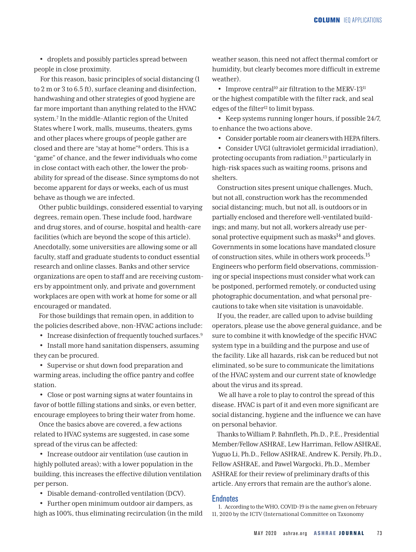• droplets and possibly particles spread between people in close proximity.

 For this reason, basic principles of social distancing (1 to 2 m or 3 to 6.5 ft), surface cleaning and disinfection, handwashing and other strategies of good hygiene are far more important than anything related to the HVAC system.7 In the middle-Atlantic region of the United States where I work, malls, museums, theaters, gyms and other places where groups of people gather are closed and there are "stay at home"8 orders. This is a "game" of chance, and the fewer individuals who come in close contact with each other, the lower the probability for spread of the disease. Since symptoms do not become apparent for days or weeks, each of us must behave as though we are infected.

Other public buildings, considered essential to varying degrees, remain open. These include food, hardware and drug stores, and of course, hospital and health-care facilities (which are beyond the scope of this article). Anecdotally, some universities are allowing some or all faculty, staff and graduate students to conduct essential research and online classes. Banks and other service organizations are open to staff and are receiving customers by appointment only, and private and government workplaces are open with work at home for some or all encouraged or mandated.

For those buildings that remain open, in addition to the policies described above, non-HVAC actions include:

• Increase disinfection of frequently touched surfaces.<sup>9</sup>

• Install more hand sanitation dispensers, assuming they can be procured.

• Supervise or shut down food preparation and warming areas, including the office pantry and coffee station.

• Close or post warning signs at water fountains in favor of bottle filling stations and sinks, or even better, encourage employees to bring their water from home.

Once the basics above are covered, a few actions related to HVAC systems are suggested, in case some spread of the virus can be affected:

• Increase outdoor air ventilation (use caution in highly polluted areas); with a lower population in the building, this increases the effective dilution ventilation per person.

• Disable demand-controlled ventilation (DCV).

• Further open minimum outdoor air dampers, as high as 100%, thus eliminating recirculation (in the mild weather season, this need not affect thermal comfort or humidity, but clearly becomes more difficult in extreme weather).

• Improve central<sup>10</sup> air filtration to the MERV-13<sup>11</sup> or the highest compatible with the filter rack, and seal edges of the filter<sup>12</sup> to limit bypass.

• Keep systems running longer hours, if possible 24/7, to enhance the two actions above.

• Consider portable room air cleaners with HEPA filters.

• Consider UVGI (ultraviolet germicidal irradiation), protecting occupants from radiation,<sup>13</sup> particularly in high-risk spaces such as waiting rooms, prisons and shelters.

Construction sites present unique challenges. Much, but not all, construction work has the recommended social distancing; much, but not all, is outdoors or in partially enclosed and therefore well-ventilated buildings; and many, but not all, workers already use personal protective equipment such as masks $14$  and gloves. Governments in some locations have mandated closure of construction sites, while in others work proceeds.15 Engineers who perform field observations, commissioning or special inspections must consider what work can be postponed, performed remotely, or conducted using photographic documentation, and what personal precautions to take when site visitation is unavoidable.

If you, the reader, are called upon to advise building operators, please use the above general guidance, and be sure to combine it with knowledge of the specific HVAC system type in a building and the purpose and use of the facility. Like all hazards, risk can be reduced but not eliminated, so be sure to communicate the limitations of the HVAC system and our current state of knowledge about the virus and its spread.

 We all have a role to play to control the spread of this disease. HVAC is part of it and even more significant are social distancing, hygiene and the influence we can have on personal behavior.

Thanks to William P. Bahnfleth, Ph.D., P.E., Presidential Member/Fellow ASHRAE, Lew Harriman, Fellow ASHRAE, Yuguo Li, Ph.D., Fellow ASHRAE, Andrew K. Persily, Ph.D., Fellow ASHRAE, and Pawel Wargocki, Ph.D., Member ASHRAE for their review of preliminary drafts of this article. Any errors that remain are the author's alone.

## **Endnotes**

1. According to the WHO, COVID-19 is the name given on February 11, 2020 by the ICTV (International Committee on Taxonomy